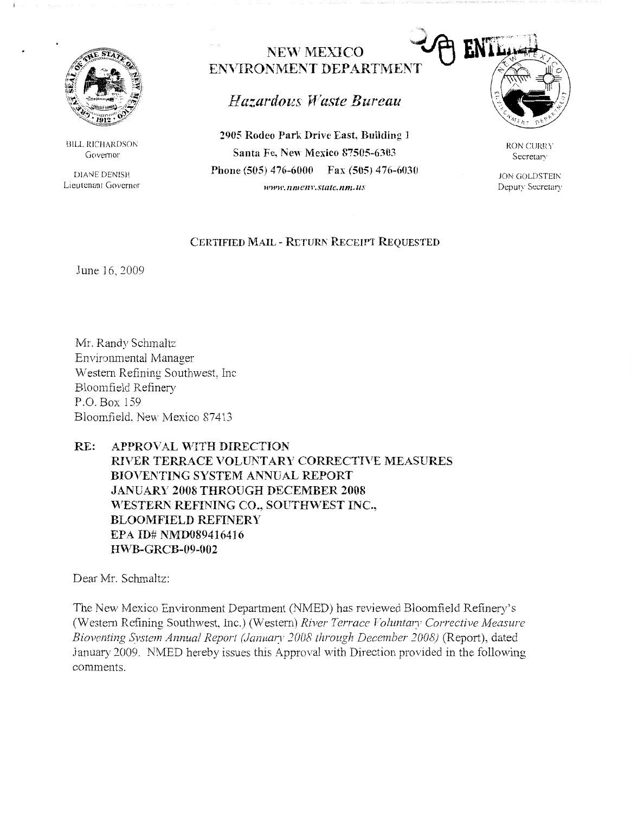

BILL RICHARDSON Governor

DIANE DENISH Lieutenant Governor

# NEW MEXICO ENVIRONMENT DEPARTMENT

# *Hazardous 'fVaste Bureau*

**2905 Rodeo Park Drive East, Bui1ding 1 Santa Fe, New Mexico 87505-6303 Phone (505) 476-6000 Fax (505) 476-6030**  *www.nmen1·.surtc.11m.us* 



RON CURRY Secretary

JON GOLDSTEIN Deputy Secretary

### **CERTIFIED MAIL - RETURN RECEIPT REQUESTED**

June 16, 2009

Mr. Randy Schmaltz Environmental Manager Western Refining Southwest, Inc Bloomfield Refinery P.O. Box 159 Bloomfield. New Mexico 87413

## **RE: APPROVAL vVITH DIRECTION RIVER TERRACE VOLUNTARY CORRECTIVE MEASURES BIOVENTING SYSTEM ANNUAL REPORT JANUARY 2008 THROUGH DECEMBER 2008**  *"rESTERN* **REFINING CO., SOUTHWEST INC., BLOOMFIELD REFINERY**  EPA **ID# NMD089416416 H\VB-GRCB-09-002**

Dear Mr. Schmaltz:

The New Mexico Environment Department (NMED) has reviewed Bloomfield Refinery's (Western Refining Southwest, Inc.) (Western) *River Terrace Voluntary Corrective Measure Bioventing System Annual Report (January 2008 through December 2008)* (Report), dated January 2009, NMED hereby issues this Approval with Direction provided in the following comments.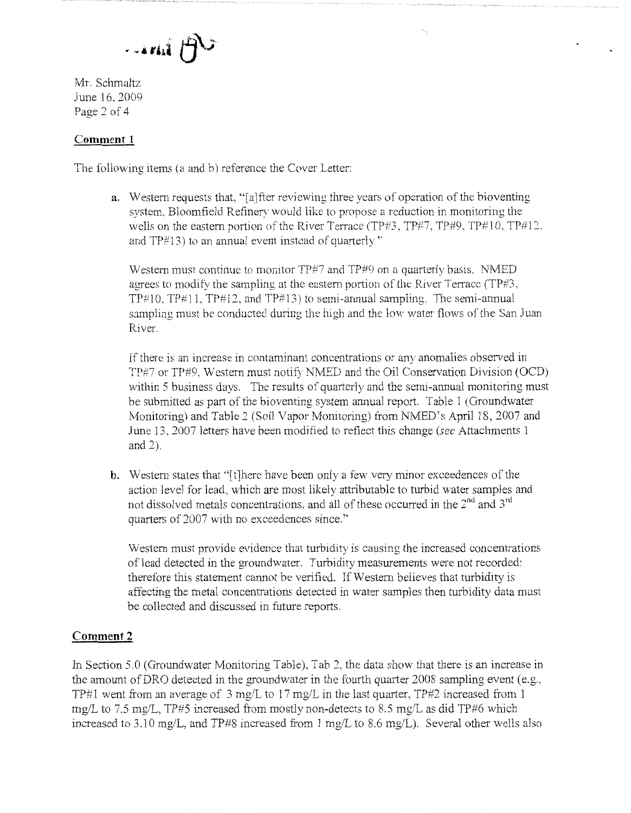$\ldots$ mi $\bigoplus$ 

Mr. Schmaltz June 16. 2009 Page 2 of 4

### **Comment 1**

The following items (a and b) reference the Cover Letter:

**a.** Western requests that, "[a]fter reviewing three years of operation of the bioventing system, Bloomfield Refinery would like to propose a reduction in monitoring the wells on the eastern portion of the River Terrace (TP#3, TP#7, TP#9, TP#10, TP#12, and  $TP#13$ ) to an annual event instead of quarterly."

Western must continue to monitor TP#7 and TP#9 on a quarterly basis. NMED agrees to modify the sampling at the eastern portion of the River Terrace (TP#3,  $TP#10$ ,  $TP#11$ ,  $TP#12$ , and  $TP#13$ ) to semi-annual sampling. The semi-annual sampling must be conducted during the high and the low water flows of the San Juan River.

If there is an increase in contaminant concentrations or any anomalies observed in TP#7 or TP#9, Western must notify NMED and the Oil Conservation Division (OCD) within 5 business days. The results of quarterly and the semi-annual monitoring must be submitted as part of the bioventing system ammal report. Table 1 (Groundwater Monitoring) and Table 2 (Soil Vapor Monitoring) from NMED's April 18, 2007 and June 13. 2007 letters have been modified to reflect this change *(sec* Attachments 1 and 2).

**b.** Western states that "[t]here have been only a few very minor exceedences of the action level for lead, which are most likely attributable to turbid water samples and not dissolved metals concentrations, and all of these occurred in the  $2<sup>nd</sup>$  and  $3<sup>rd</sup>$ quarters of 2007 with no exceedences since."

Western must provide evidence that turbidity is causing the increased concentrations of lead detected in the groundwater. Turbidity measurements were not recorded; therefore this statement cannot be verified. If Western believes that turbidity is affecting the metal concentrations detected in water samples then turbidity data must be collected and discussed in future reports.

### **Comment2**

In Section 5.0 (Groundwater Monitoring Table), Tab 2, the data show that there is an increase in the amount ofDRO detected in the groundwater in the fourth quarter 2008 sampling event (e.g., TP#1 went from an average of 3 mg/L to 17 mg/L in the last quarter, TP#2 increased from 1 mg/L to 7.5 mg/L, TP#5 increased from mostly non-detects to 8.5 mg/L as did TP#6 which increased to 3.10 mg/L, and TP#8 increased from 1 mg/L to 8.6 mg/L). Several other wells also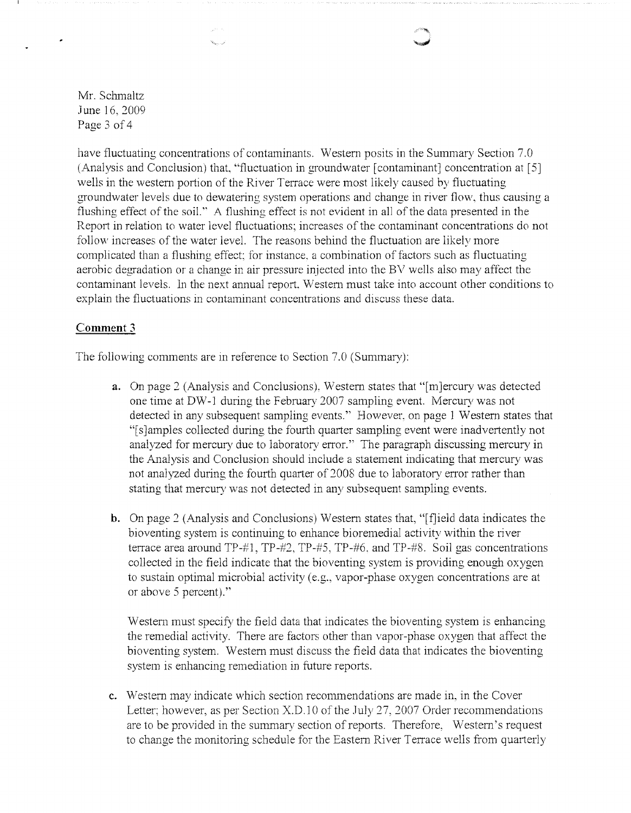Mr. Schmaltz June 16. 2009 Page 3 of 4

have fluctuating concentrations of contaminants. Western posits in the Summary Section 7.0 (Analysis and Conclusion) that, "fluctuation in groundwater [ contaminant] concentration at [ 5] wells in the western portion of the River Terrace were most likely caused by fluctuating groundwater levels due to dewatering system operations and change in river flow, thus causing a flushing effect of the soil." A flushing effect is not evident in all of the data presented in the Report in relation to water level fluctuations; increases of the contaminant concentrations do not follow increases of the water level. The reasons behind the fluctuation are likely more complicated than a flushing effect; for instance. a combination of factors such as fluctuating aerobic degradation or a change in air pressure injected into the BV wells also may affect the contaminant levels. In the next annual report. Western must take into account other conditions to explain the fluctuations in contaminant concentrations and discuss these data.

### **Comment 3**

The following comments are in reference to Section 7.0 (Summary):

- **a.** On page 2 (Analysis and Conclusions), Western states that "[m]ercury was detected one time at DW-1 during the February 2007 sampling event. Mercury was not detected in any subsequent sampling events." However. on page 1 Western states that "[ s ]amples collected dming the fourth quarter sampling event were inadvertently not analyzed for mercury due to laboratory error." The paragraph discussing mercury in the Analysis and Conclusion should include a statement indicating that mercury was not analyzed during the fourth quarter of 2008 due to laboratory error rather than stating that mercury was not detected in any subsequent sampling events.
- **b.** On page 2 (Analysis and Conclusions) Western states that, "[f]ield data indicates the bioventing system is continuing to enhance bioremedial activity within the river terrace area around TP-#1, TP-#2, TP-#5, TP-#6. and TP-#8. Soil gas concentrations collected in the field indicate that the bioventing system is providing enough oxygen to sustain optimal microbial activity ( e.g., vapor-phase oxygen concentrations are at or above 5 percent)."

Western must specify the field data that indicates the bioventing system is enhancing the remedial activity. There are factors other than vapor-phase oxygen that affect the bioventing system. Western must discuss the field data that indicates the bioventing system is enhancing remediation in future reports.

**c.** Western may indicate which section recommendations are made in. in the Cover Letter; however, as per Section X.D.10 of the July 27, 2007 Order recommendations are to be provided in the summary section of reports. Therefore, Western's request to change the monitoring schedule for the Eastern River Terrace wells from quarterly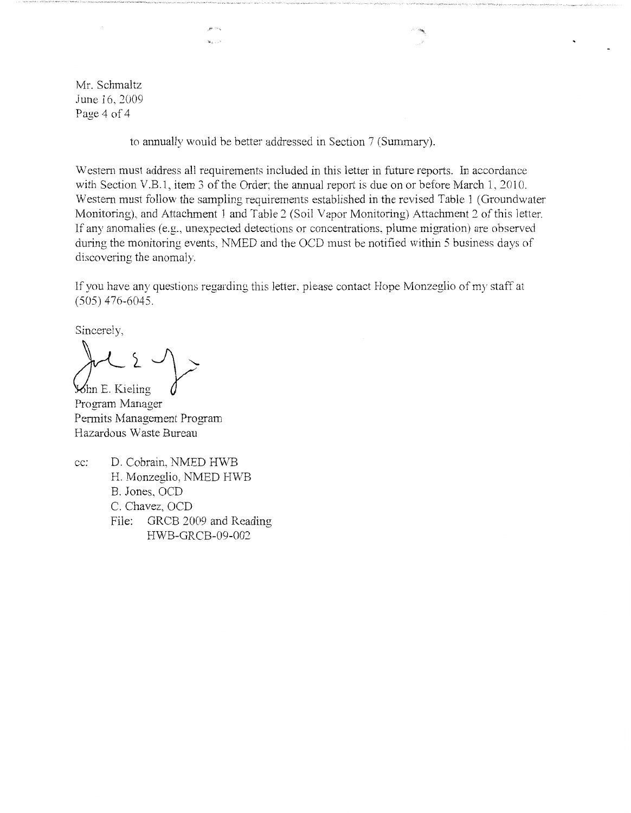Mr. Schmaltz June 16, 2009 Page 4 of 4

to annually would be better addressed in Section 7 (Summary).

and Co.s. George Co

Western must address all requirements included in this letter in future reports. In accordance with Section V.B.1, item 3 of the Order; the annual report is due on or before March 1, 2010. Western must follow the sampling requirements established in the revised Table 1 (Groundwater Monitoring), and Attachment 1 and Table *2* (Soil Vapor Monitoring) Attachment 2 of this letter. If any anomalies (e.g., unexpected detections or concentrations, plume migration) are observed during the monitoring events, NMED and the OCD must be notified within 5 business days of discovering the anomaly.

If you have any questions regarding this letter, please contact Hope Monzeglio of my staff at (505) 476-6045.

Sincerely,

**Solution** E. Kieling

Program Manager Pennits Management Program Hazardous Waste Bureau

cc: D. Cobrain, NMED HWB H. Monzeglio, NMED HWB B. Jones, OCD C. Chavez, OCD File: GRCB 2009 and Reading HWB-GRCB-09-002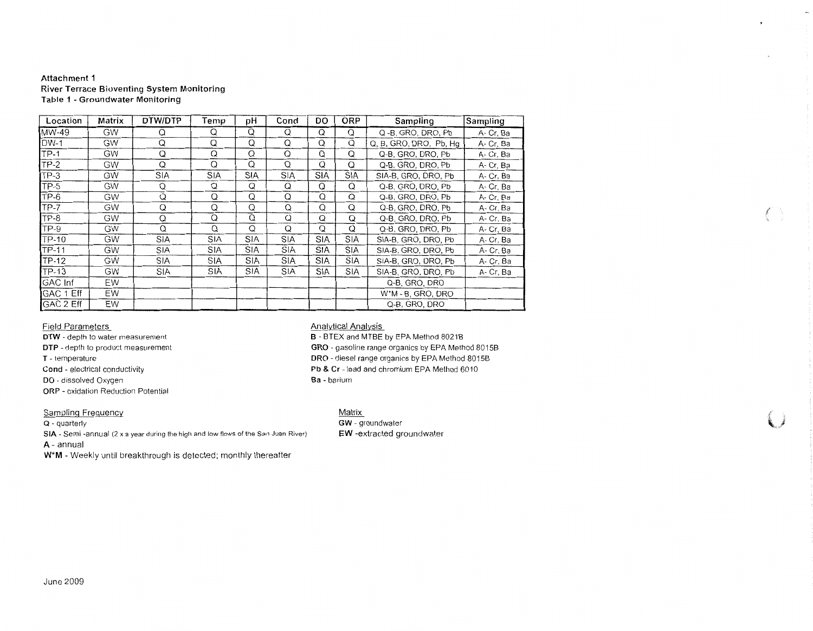#### **Attachment 1 River Terrace Bioventing System Monitoring Table 1 - Groundwater Monitoring**

| Location       | Matrix    | DTW/DTP    | Temp       | рH         | Cond       | DO         | <b>ORP</b> | Sampling               | Sampling  |
|----------------|-----------|------------|------------|------------|------------|------------|------------|------------------------|-----------|
| MW-49          | <b>GW</b> | Q          | Q          | Q          | Q          | Q          | Q          | Q -B, GRO, DRO, Pb     | A-Cr, Ba  |
| <b>DW-1</b>    | <b>GW</b> | Q          | Q          | Q          | Q          | Q          | Q          | Q, B, GRO, DRO, Pb, Hq | A-Cr, Ba  |
| $TP-1$         | GW        | Q          | $\Omega$   | Q          | Q          | Q          | $\Omega$   | Q-B, GRO, DRO, Pb      | A-Cr, Ba  |
| $TP-2$         | <b>GW</b> | Q          | Q          | Q          | Q          | Q          | Q          | Q-B, GRO, DRO, Pb      | A- Cr, Ba |
| $TP-3$         | GW        | <b>SIA</b> | <b>SIA</b> | SIA        | <b>SIA</b> | <b>SIA</b> | <b>SIA</b> | SIA-B, GRO, DRO, Pb    | A-Cr, Ba  |
| $TP-5$         | <b>GW</b> | Q          | Q          | Q          | Q          | Q          | Q          | Q-B. GRO. DRO. Pb      | A-Cr, Ba  |
| TP-6           | <b>GW</b> | Q          | Q          | Q          | Q          | Q          | Q          | Q-B, GRO, DRO, Pb      | A- Cr, Ba |
| TP-7           | GW        | Q          | Q          | Q          | Q          | Q          | Q          | Q-B, GRO, DRO, Pb      | A- Cr, Ba |
| TP-8           | <b>GW</b> | Q          | Q          | Q          | Q          | Q          | Q          | Q-B. GRO. DRO. Pb      | A- Cr. Ba |
| TP-9           | GW        | Q          | Q          | Q          | Q          | Q          | Q          | Q-B, GRO, DRO, Pb      | A-Cr. Ba  |
| TP-10          | <b>GW</b> | SIA        | SIA        | SIA        | <b>SIA</b> | SIA        | SIA        | SIA-B, GRO, DRO, Pb    | A- Cr, Ba |
| TP-11          | GW        | <b>SIA</b> | <b>SIA</b> | <b>SIA</b> | <b>SIA</b> | <b>SIA</b> | <b>SIA</b> | SIA-B, GRO, DRO, Pb    | A-Cr, Ba  |
| <b>TP-12</b>   | <b>GW</b> | <b>SIA</b> | <b>SIA</b> | <b>SIA</b> | <b>SIA</b> | <b>SIA</b> | <b>SIA</b> | SIA-B, GRO, DRO, Pb    | A- Cr, Ba |
| <b>TP-13</b>   | <b>GW</b> | <b>SIA</b> | <b>SIA</b> | SIA        | <b>SIA</b> | <b>SIA</b> | <b>SIA</b> | SIA-B, GRO, DRO, Pb    | A- Cr, Ba |
| <b>GAC</b> Inf | EW        |            |            |            |            |            |            | Q-B, GRO, DRO          |           |
| GAC 1 Eff      | EW        |            |            |            |            |            |            | W*M - B. GRO, DRO      |           |
| GAC 2 Eff      | EW        |            |            |            |            |            |            | Q-B. GRO, DRO          |           |

#### Field Parameters

**DTW** - depth to water measurement **DTP** - depth to product measurement **T** - temperature **Cond** - electrical conductivity **DO** - dissolved Oxygen **ORP** - oxidation Reduction Potential

#### Sampling Frequency

**Q** - quarterly

**SIA** - Semi -annual (2 x a year during the high and low fiows of the San Juan River)

**A-** annual

**W\*M** - Weekly until breakthrough is detected; monthly thereafter

#### Analytical Analysis

**B** - BTEX and MTBE by EPA Method 80218 **GRO** - gasoline range organics by EPA Method 8015B **ORO** - diesel range organics by EPA Method 8015B **Pb & Cr** - lead and chromium EPA Method 6010 **Ba** - barium

 $\mathcal{L}$ 

 $\left( \begin{array}{c} \lambda \\ \lambda \end{array} \right)$ 

#### Matrix

**GW** - groundwater **EW** -extracted groundwater

#### June 2009